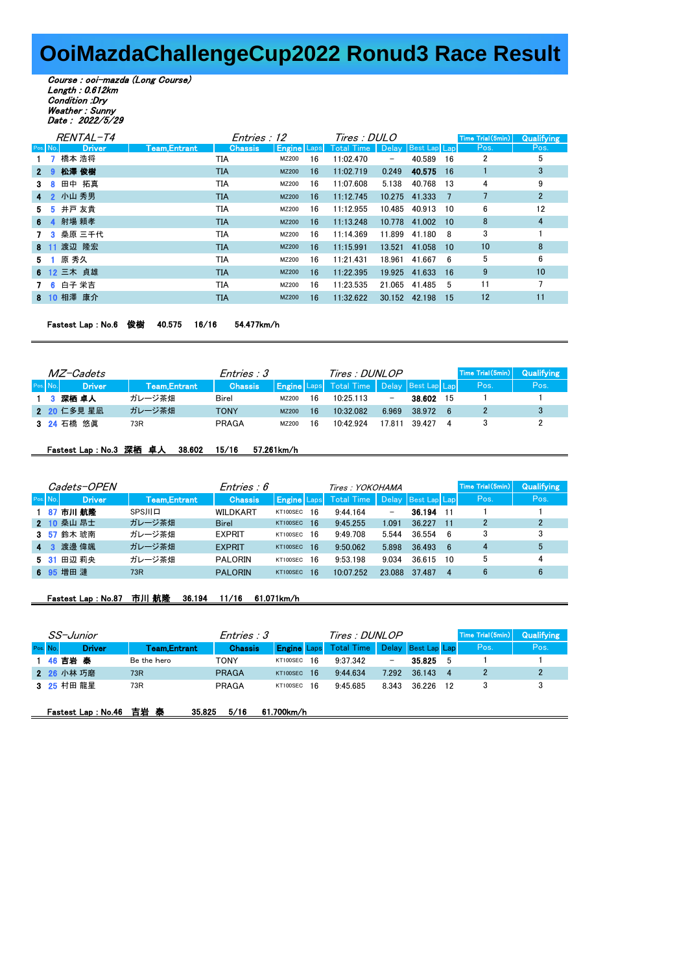## **OoiMazdaChallengeCup2022 Ronud3 Race Result**

Course : ooi-mazda (Long Course) Length : 0.612km Condition :Dry Weather : Sunny Date : 2022/5/29

| RENTAL-T4 |               |               | Entries : 12   | Tires : DULO       |    |                                   |        |               |      | Time Trial (5min) | <b>Qualifying</b> |
|-----------|---------------|---------------|----------------|--------------------|----|-----------------------------------|--------|---------------|------|-------------------|-------------------|
| Pos. No.  | <b>Driver</b> | Team, Entrant | <b>Chassis</b> | <b>Engine Laps</b> |    | Total Time   Delay   Best Lap Lap |        |               |      | Pos.              | Pos.              |
|           | 1 7 橋本 浩将     |               | TIA            | MZ200              | 16 | 11:02.470                         | -      | 40.589        | - 16 | 2                 | 5                 |
|           | 2 9 松澤俊樹      |               | TIA            | <b>MZ200</b>       | 16 | 11:02.719                         | 0.249  | 40.575        | 16   |                   | 3                 |
|           | 3 8 田中 拓真     |               | TIA            | MZ200              | 16 | 11:07.608                         | 5.138  | 40.768        | 13   | 4                 | 9                 |
|           | 4 2 小山 秀男     |               | <b>TIA</b>     | <b>MZ200</b>       | 16 | 11:12.745                         |        | 10.275 41.333 | 7    |                   | $\overline{2}$    |
|           | 5 5 井戸 友貴     |               | TIA            | MZ200              | 16 | 11:12.955                         | 10.485 | 40.913        | 10   | 6                 | 12                |
|           | 6 4 射場 頼孝     |               | <b>TIA</b>     | <b>MZ200</b>       | 16 | 11:13.248                         | 10.778 | 41.002        | 10   | 8                 | 4                 |
|           | 7 3 桑原 三千代    |               | TIA            | MZ200              | 16 | 11:14.369                         | 11.899 | 41.180 8      |      | 3                 |                   |
|           | 8 11 渡辺 隆宏    |               | <b>TIA</b>     | <b>MZ200</b>       | 16 | 11:15.991                         | 13.521 | 41.058        | 10   | 10                | 8                 |
|           | 5 1 原 秀久      |               | TIA            | MZ200              | 16 | 11:21.431                         | 18.961 | 41.667        | - 6  | 5                 | 6                 |
|           | 6 12 三木 貞雄    |               | <b>TIA</b>     | MZ200              | 16 | 11:22.395                         | 19.925 | 41.633        | 16   | 9                 | 10                |
|           | 7 6 白子 栄吉     |               | TIA            | MZ200              | 16 | 11:23.535                         | 21.065 | 41.485        | 5    | 11                | 7                 |
|           | 8 10 相澤 康介    |               | TIA            | <b>MZ200</b>       | 16 | 11:32.622                         | 30.152 | 42.198        | 15   | 12                | 11                |
|           |               |               |                |                    |    |                                   |        |               |      |                   |                   |

Fastest Lap : No.6 俊樹 40.575 16/16 54.477km/h

| <i>MZ-Cadets</i> |  |             |              | <i>Entries : 3</i> |              |    | Tires : DUNLOP                                       |                          |        |     | Time Trial (5min) | Qualifying |
|------------------|--|-------------|--------------|--------------------|--------------|----|------------------------------------------------------|--------------------------|--------|-----|-------------------|------------|
| Pos. No.         |  | / Driver    | Team.Entrant | <b>Chassis</b>     |              |    | <b>Engine</b> Laps Total Time   Delay   Best Lap Lap |                          |        |     | Pos.              | Pos.       |
|                  |  | 1 3 深栖 卓人   | ガレージ茶畑       | Birel              | MZ200        | 16 | 10:25113                                             | $\overline{\phantom{0}}$ | 38.602 | 15  |                   |            |
|                  |  | 2 20 仁多見 星凪 | ガレージ茶畑       | TONY               | <b>MZ200</b> | 16 | 10:32082                                             | 6.969                    | 38.972 | - 6 |                   |            |
|                  |  | 3 24 石橋 悠眞  | 73R          | PRAGA              | MZ200        | 16 | 10.42924                                             | 17811                    | 39 427 |     |                   |            |

## Fastest Lap : No.3 深栖 卓人 38.602 15/16 57.261km/h

|             | Cadets-OPEN   |               | <i>Entries : 6</i> | Tires: YOKOHAMA       |                               |        | Time Trial (5min)  | <b>Qualifying</b>     |      |
|-------------|---------------|---------------|--------------------|-----------------------|-------------------------------|--------|--------------------|-----------------------|------|
| Pos. No.    | <b>Driver</b> | Team.Entrant  | <b>Chassis</b>     |                       | <b>Engine Laps</b> Total Time |        | Delay Best Lap Lap | Pos.                  | Pos. |
|             | 1 87 市川 航隆    | <b>SPSJIL</b> | WILDKART           | 16<br>KT100SEC        | 9:44.164                      | -      | 36.194             | 11                    |      |
|             | 2 10 桑山 昂士    | ガレージ茶畑        | <b>Birel</b>       | <b>16</b><br>KT100SEC | 9:45.255                      | 1.091  | 36.227             | $\overline{2}$<br>-11 | 2    |
|             | 3 57 鈴木 琥南    | ガレージ茶畑        | <b>EXPRIT</b>      | 16<br>KT100SEC        | 9:49.708                      | 5.544  | 36.554             | -6                    | 3    |
| $4 \quad 3$ | 渡邊 偉颯         | ガレージ茶畑        | <b>EXPRIT</b>      | KT100SEC<br><b>16</b> | 9:50.062                      | 5.898  | 36.493             | 4<br>6                | 5    |
|             | 5 31 田辺 莉央    | ガレージ茶畑        | <b>PALORIN</b>     | 16<br>KT100SEC        | 9:53.198                      | 9034   | 36 615             | 5<br>10               | 4    |
|             | 6 95 增田 漣     | 73R           | <b>PALORIN</b>     | 16<br>KT100SEC        | 10:07.252                     | 23.088 | 37.487             | 6<br>4                |      |

## Fastest Lap : No.87 市川 航隆 36.194 11/16 61.071km/h

| SS-Junior |          |                            |                      | Entries : 3    |                     |  | Tires : DUNLOP    |       |                    |    | Time Trial (5min) | <b>Qualifying</b> |
|-----------|----------|----------------------------|----------------------|----------------|---------------------|--|-------------------|-------|--------------------|----|-------------------|-------------------|
|           | Pos. No. | <b>Driver</b>              | <b>Team, Entrant</b> | <b>Chassis</b> | <b>Engine Lapsi</b> |  | <b>Total Time</b> |       | Delay Best Lap Lap |    | Pos.              | Pos.              |
|           |          | 1 46 吉岩 泰                  | Be the hero          | <b>TONY</b>    | KT100SEC 16         |  | 9:37.342          | -     | 35.825             | -5 |                   |                   |
|           |          | 2 26 小林 巧磨                 | 73R                  | <b>PRAGA</b>   | KT100SEC 16         |  | 9:44.634          | 7.292 | 36.143             | 4  | 2                 | $\mathfrak{p}$    |
|           |          | 3 25 村田 龍星                 | 73R                  | PRAGA          | KT100SEC 16         |  | 9.45685           | 8.343 | 36 226             | 12 | 3                 | 3                 |
|           |          | <b>Fastest Lap : No.46</b> | 吉岩 泰<br>35.825       | 5/16           | 61.700km/h          |  |                   |       |                    |    |                   |                   |